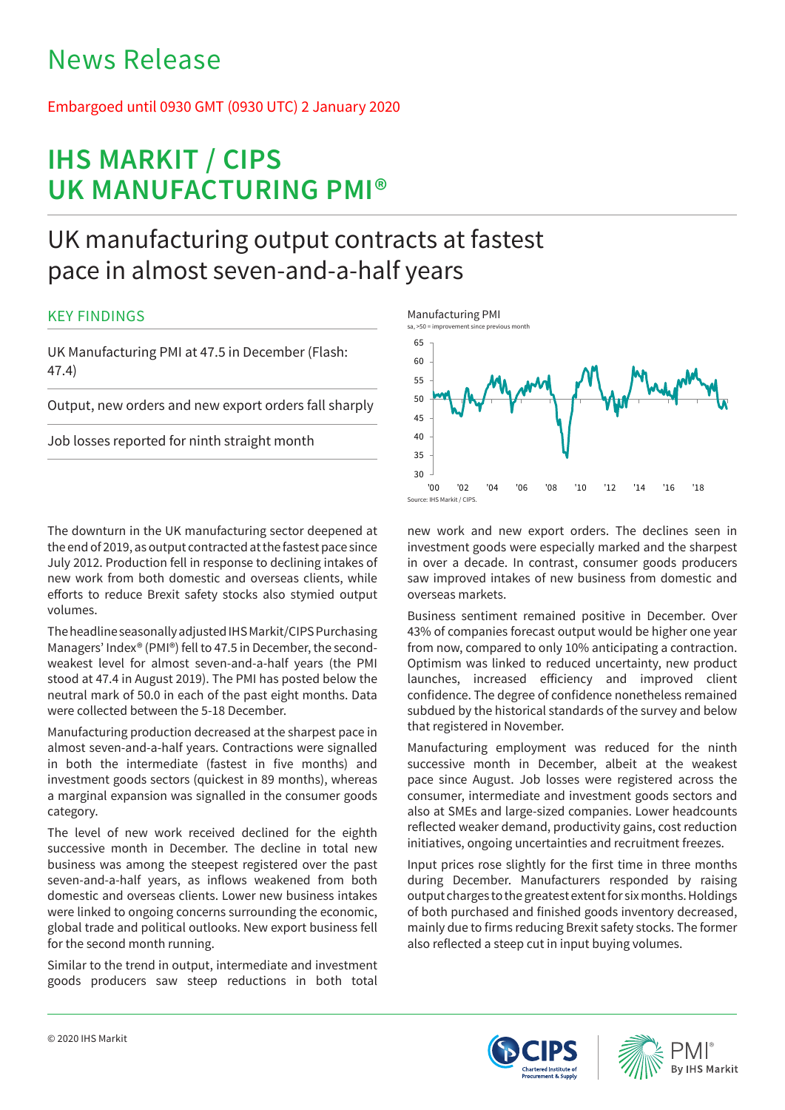# News Release

# Embargoed until 0930 GMT (0930 UTC) 2 January 2020

# **IHS MARKIT / CIPS UK MANUFACTURING PMI®**

# UK manufacturing output contracts at fastest pace in almost seven-and-a-half years

## KEY FINDINGS

UK Manufacturing PMI at 47.5 in December (Flash: 47.4)

Output, new orders and new export orders fall sharply

Job losses reported for ninth straight month

The downturn in the UK manufacturing sector deepened at the end of 2019, as output contracted at the fastest pace since July 2012. Production fell in response to declining intakes of new work from both domestic and overseas clients, while efforts to reduce Brexit safety stocks also stymied output volumes.

The headline seasonally adjusted IHS Markit/CIPS Purchasing Managers' Index® (PMI®) fell to 47.5 in December, the secondweakest level for almost seven-and-a-half years (the PMI stood at 47.4 in August 2019). The PMI has posted below the neutral mark of 50.0 in each of the past eight months. Data were collected between the 5-18 December.

Manufacturing production decreased at the sharpest pace in almost seven-and-a-half years. Contractions were signalled in both the intermediate (fastest in five months) and investment goods sectors (quickest in 89 months), whereas a marginal expansion was signalled in the consumer goods category.

The level of new work received declined for the eighth successive month in December. The decline in total new business was among the steepest registered over the past seven-and-a-half years, as inflows weakened from both domestic and overseas clients. Lower new business intakes were linked to ongoing concerns surrounding the economic, global trade and political outlooks. New export business fell for the second month running.

Similar to the trend in output, intermediate and investment goods producers saw steep reductions in both total



new work and new export orders. The declines seen in investment goods were especially marked and the sharpest in over a decade. In contrast, consumer goods producers saw improved intakes of new business from domestic and overseas markets.

Business sentiment remained positive in December. Over 43% of companies forecast output would be higher one year from now, compared to only 10% anticipating a contraction. Optimism was linked to reduced uncertainty, new product launches, increased efficiency and improved client confidence. The degree of confidence nonetheless remained subdued by the historical standards of the survey and below that registered in November.

Manufacturing employment was reduced for the ninth successive month in December, albeit at the weakest pace since August. Job losses were registered across the consumer, intermediate and investment goods sectors and also at SMEs and large-sized companies. Lower headcounts reflected weaker demand, productivity gains, cost reduction initiatives, ongoing uncertainties and recruitment freezes.

Input prices rose slightly for the first time in three months during December. Manufacturers responded by raising output charges to the greatest extent for six months. Holdings of both purchased and finished goods inventory decreased, mainly due to firms reducing Brexit safety stocks. The former also reflected a steep cut in input buying volumes.



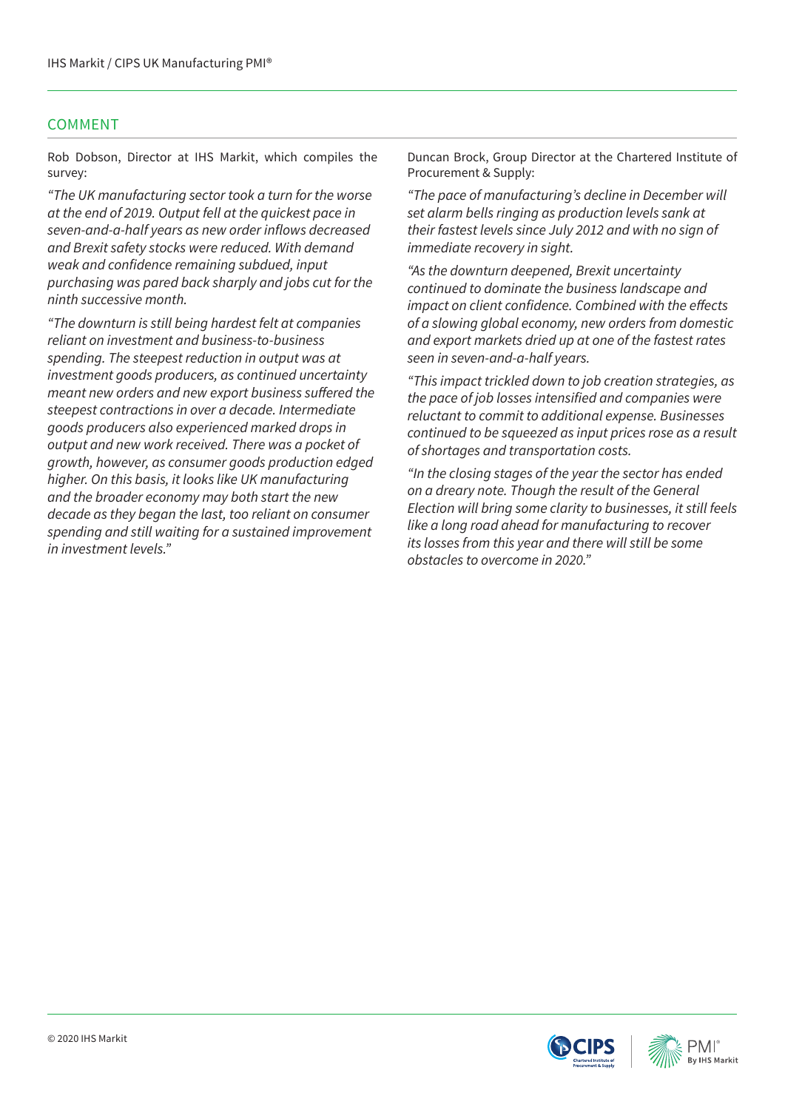# COMMENT

Rob Dobson, Director at IHS Markit, which compiles the survey:

*"The UK manufacturing sector took a turn for the worse at the end of 2019. Output fell at the quickest pace in*  seven-and-a-half years as new order inflows decreased *and Brexit safety stocks were reduced. With demand*  weak and confidence remaining subdued, input purchasing was pared back sharply and jobs cut for the *ninth successive month.*

"The downturn is still being hardest felt at companies reliant on investment and business-to-business *spending. The steepest reduction in output was at*  investment goods producers, as continued uncertainty meant new orders and new export business suffered the *steepest contractions in over a decade. Intermediate goods producers also experienced marked drops in output and new work received. There was a pocket of*  growth, however, as consumer goods production edged higher. On this basis, it looks like UK manufacturing and the broader economy may both start the new decade as they began the last, too reliant on consumer *spending and still waiting for a sustained improvement in investment levels."*

Duncan Brock, Group Director at the Chartered Institute of Procurement & Supply:

"The pace of manufacturing's decline in December will set alarm bells ringing as production levels sank at *their fastest levels since July 2012 and with no sign of immediate recovery in sight.*

"As the downturn deepened, Brexit uncertainty continued to dominate the business landscape and impact on client confidence. Combined with the effects of a slowing global economy, new orders from domestic *and export markets dried up at one of the fastest rates seen in seven-and-a-half years.*

"This impact trickled down to job creation strategies, as the pace of job losses intensified and companies were *reluctant to commit to additional expense. Businesses*  continued to be squeezed as input prices rose as a result *of shortages and transportation costs.*

*"In the closing stages of the year the sector has ended on a dreary note. Though the result of the General*  Election will bring some clarity to businesses, it still feels *like a long road ahead for manufacturing to recover*  its losses from this year and there will still be some obstacles to overcome in 2020."